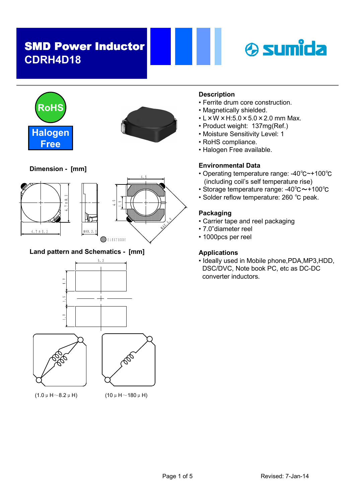





M A  $\ddot{\phantom{0}}$ . زد . Ų

Dimension - [mm]



Land pattern and Schematics - [mm]



 $(1.0 \mu H \sim 8.2 \mu H)$  (10  $\mu H \sim 180 \mu H$ )

### Description

- Ferrite drum core construction.
- Magnetically shielded.
- $\cdot$  L  $\times$  W  $\times$  H:5.0  $\times$  5.0  $\times$  2.0 mm Max.
- Product weight: 137mg(Ref.)
- Moisture Sensitivity Level: 1
- RoHS compliance.
- Halogen Free available.

### Environmental Data

- Operating temperature range: -40℃~+100℃ (including coil's self temperature rise)
- Storage temperature range: -40℃~+100℃
- Solder reflow temperature: 260 ℃ peak.

### Packaging

- Carrier tape and reel packaging
- 7.0"diameter reel
- 1000pcs per reel

### Applications

• Ideally used in Mobile phone,PDA,MP3,HDD, DSC/DVC, Note book PC, etc as DC-DC converter inductors.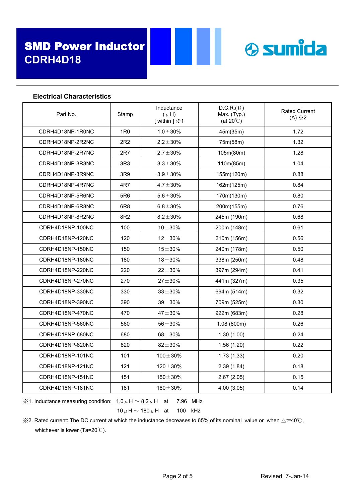Electrical Characteristics



| Part No.         | Stamp           | Inductance<br>$(\mu H)$<br>[within ] $\divideontimes$ 1 | $D.C.R.(\Omega)$<br>Max. (Typ.)<br>(at $20^{\circ}$ C) | <b>Rated Current</b><br>$(A) \times 2$ |
|------------------|-----------------|---------------------------------------------------------|--------------------------------------------------------|----------------------------------------|
| CDRH4D18NP-1R0NC | 1R0             | $1.0 \pm 30\%$                                          | 45m(35m)                                               | 1.72                                   |
| CDRH4D18NP-2R2NC | 2R2             | $2.2 \pm 30\%$                                          | 75m(58m)                                               | 1.32                                   |
| CDRH4D18NP-2R7NC | 2R7             | $2.7 \pm 30\%$                                          | 105m(80m)                                              | 1.28                                   |
| CDRH4D18NP-3R3NC | 3R3             | $3.3 \pm 30\%$                                          | 110m(85m)                                              | 1.04                                   |
| CDRH4D18NP-3R9NC | 3R9             | $3.9 \pm 30\%$                                          | 155m(120m)                                             | 0.88                                   |
| CDRH4D18NP-4R7NC | 4R7             | $4.7 \pm 30\%$                                          | 162m(125m)                                             | 0.84                                   |
| CDRH4D18NP-5R6NC | 5R6             | $5.6 \pm 30\%$                                          | 170m(130m)                                             | 0.80                                   |
| CDRH4D18NP-6R8NC | 6R <sub>8</sub> | $6.8 \pm 30\%$                                          | 200m(155m)                                             | 0.76                                   |
| CDRH4D18NP-8R2NC | 8R2             | $8.2 \pm 30\%$                                          | 245m (190m)                                            | 0.68                                   |
| CDRH4D18NP-100NC | 100             | $10 + 30%$                                              | 200m (148m)                                            | 0.61                                   |
| CDRH4D18NP-120NC | 120             | $12 \pm 30\%$                                           | 210m (156m)                                            | 0.56                                   |
| CDRH4D18NP-150NC | 150             | $15\pm30\%$                                             | 240m (178m)                                            | 0.50                                   |
| CDRH4D18NP-180NC | 180             | $18 + 30%$                                              | 338m (250m)                                            | 0.48                                   |
| CDRH4D18NP-220NC | 220             | $22 \pm 30 \%$                                          | 397m (294m)                                            | 0.41                                   |
| CDRH4D18NP-270NC | 270             | $27 + 30%$                                              | 441m (327m)                                            | 0.35                                   |
| CDRH4D18NP-330NC | 330             | $33 + 30%$                                              | 694m (514m)                                            | 0.32                                   |
| CDRH4D18NP-390NC | 390             | $39 + 30%$                                              | 709m (525m)                                            | 0.30                                   |
| CDRH4D18NP-470NC | 470             | $47 + 30%$                                              | 922m (683m)                                            | 0.28                                   |
| CDRH4D18NP-560NC | 560             | $56 \pm 30 \%$                                          | 1.08 (800m)                                            | 0.26                                   |
| CDRH4D18NP-680NC | 680             | $68 + 30%$                                              | 1.30(1.00)                                             | 0.24                                   |
| CDRH4D18NP-820NC | 820             | $82 \pm 30 \%$                                          | 1.56(1.20)                                             | 0.22                                   |
| CDRH4D18NP-101NC | 101             | $100 \pm 30 \%$                                         | 1.73(1.33)                                             | 0.20                                   |
| CDRH4D18NP-121NC | 121             | $120 \pm 30\%$                                          | 2.39(1.84)                                             | 0.18                                   |
| CDRH4D18NP-151NC | 151             | $150 \pm 30 \%$                                         | 2.67(2.05)                                             | 0.15                                   |
| CDRH4D18NP-181NC | 181             | $180 \pm 30\%$                                          | 4.00(3.05)                                             | 0.14                                   |

※1. Inductance measuring condition:  $1.0 \mu$  H  $\sim 8.2 \mu$  H at 7.96 MHz

 $10 \mu$  H  $\sim$  180  $\mu$  H at 100 kHz

 $%2.$  Rated current: The DC current at which the inductance decreases to 65% of its nominal value or when ∆t=40℃, whichever is lower (Ta=20℃).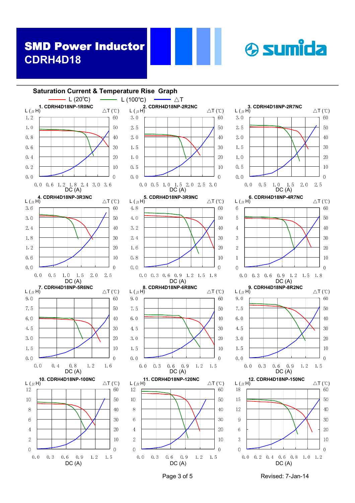



Page 3 of 5 Revised: 7-Jan-14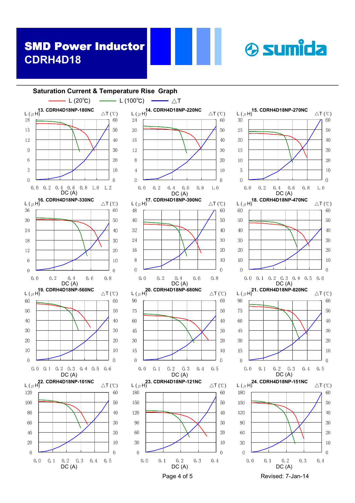